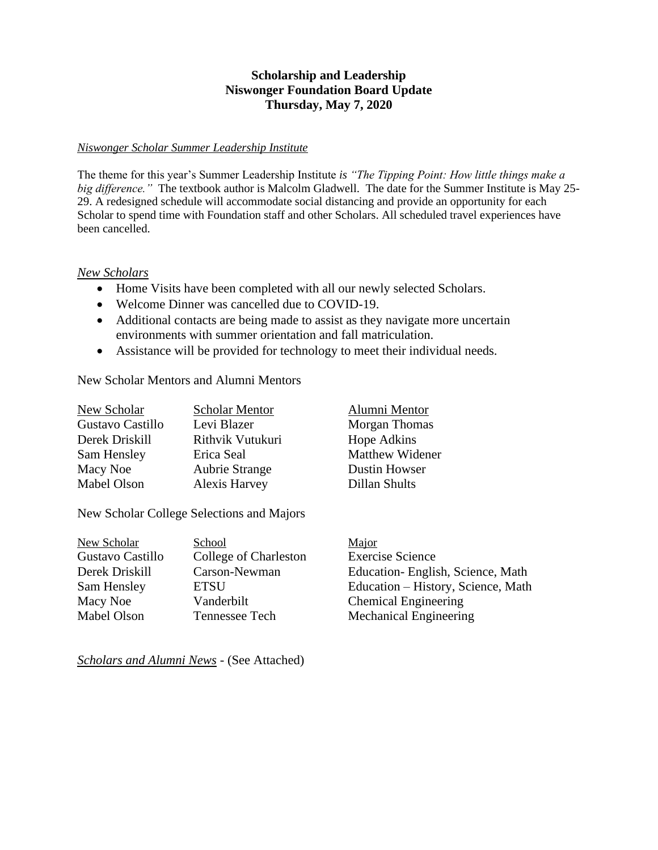## **Scholarship and Leadership Niswonger Foundation Board Update Thursday, May 7, 2020**

### *Niswonger Scholar Summer Leadership Institute*

The theme for this year's Summer Leadership Institute *is "The Tipping Point: How little things make a big difference."* The textbook author is Malcolm Gladwell. The date for the Summer Institute is May 25- 29. A redesigned schedule will accommodate social distancing and provide an opportunity for each Scholar to spend time with Foundation staff and other Scholars. All scheduled travel experiences have been cancelled.

#### *New Scholars*

- Home Visits have been completed with all our newly selected Scholars.
- Welcome Dinner was cancelled due to COVID-19.
- Additional contacts are being made to assist as they navigate more uncertain environments with summer orientation and fall matriculation.
- Assistance will be provided for technology to meet their individual needs.

New Scholar Mentors and Alumni Mentors

| New Scholar      | <b>Scholar Mentor</b> | Alumni Mentor          |
|------------------|-----------------------|------------------------|
| Gustavo Castillo | Levi Blazer           | Morgan Thomas          |
| Derek Driskill   | Rithvik Vutukuri      | Hope Adkins            |
| Sam Hensley      | Erica Seal            | <b>Matthew Widener</b> |
| Macy Noe         | <b>Aubrie Strange</b> | <b>Dustin Howser</b>   |
| Mabel Olson      | <b>Alexis Harvey</b>  | Dillan Shults          |

New Scholar College Selections and Majors

| School                | Major                              |
|-----------------------|------------------------------------|
| College of Charleston | <b>Exercise Science</b>            |
| Carson-Newman         | Education-English, Science, Math   |
| ETSU                  | Education – History, Science, Math |
| Vanderbilt            | <b>Chemical Engineering</b>        |
| Tennessee Tech        | <b>Mechanical Engineering</b>      |
|                       |                                    |

*Scholars and Alumni News* - (See Attached)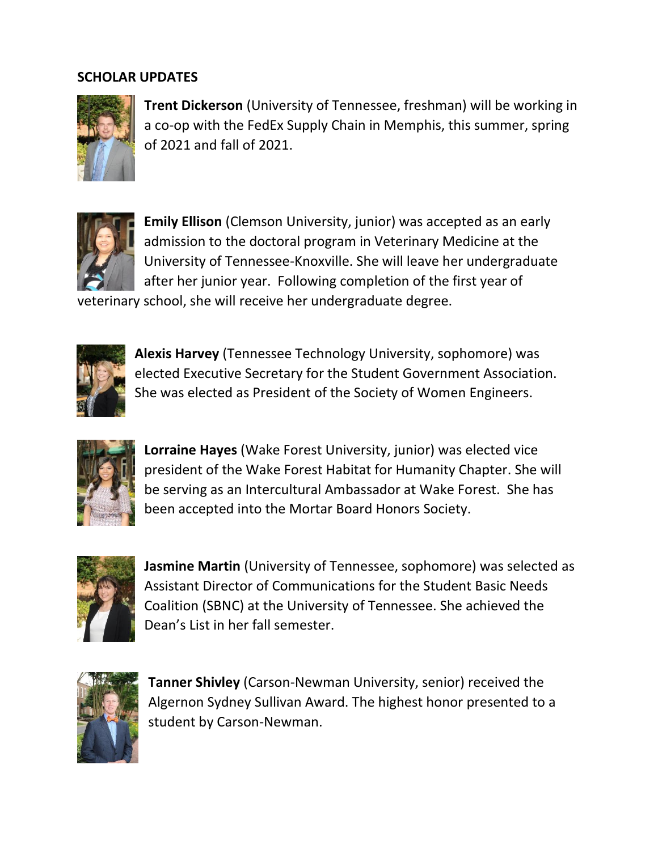# **SCHOLAR UPDATES**



**Trent Dickerson** (University of Tennessee, freshman) will be working in a co-op with the FedEx Supply Chain in Memphis, this summer, spring of 2021 and fall of 2021.



**Emily Ellison** (Clemson University, junior) was accepted as an early admission to the doctoral program in Veterinary Medicine at the University of Tennessee-Knoxville. She will leave her undergraduate after her junior year. Following completion of the first year of

veterinary school, she will receive her undergraduate degree.



**Alexis Harvey** (Tennessee Technology University, sophomore) was elected Executive Secretary for the Student Government Association. She was elected as President of the Society of Women Engineers.



**Lorraine Hayes** (Wake Forest University, junior) was elected vice president of the Wake Forest Habitat for Humanity Chapter. She will be serving as an Intercultural Ambassador at Wake Forest. She has been accepted into the Mortar Board Honors Society.



**Jasmine Martin** (University of Tennessee, sophomore) was selected as Assistant Director of Communications for the Student Basic Needs Coalition (SBNC) at the University of Tennessee. She achieved the Dean's List in her fall semester.



**Tanner Shivley** (Carson-Newman University, senior) received the Algernon Sydney Sullivan Award. The highest honor presented to a student by Carson-Newman.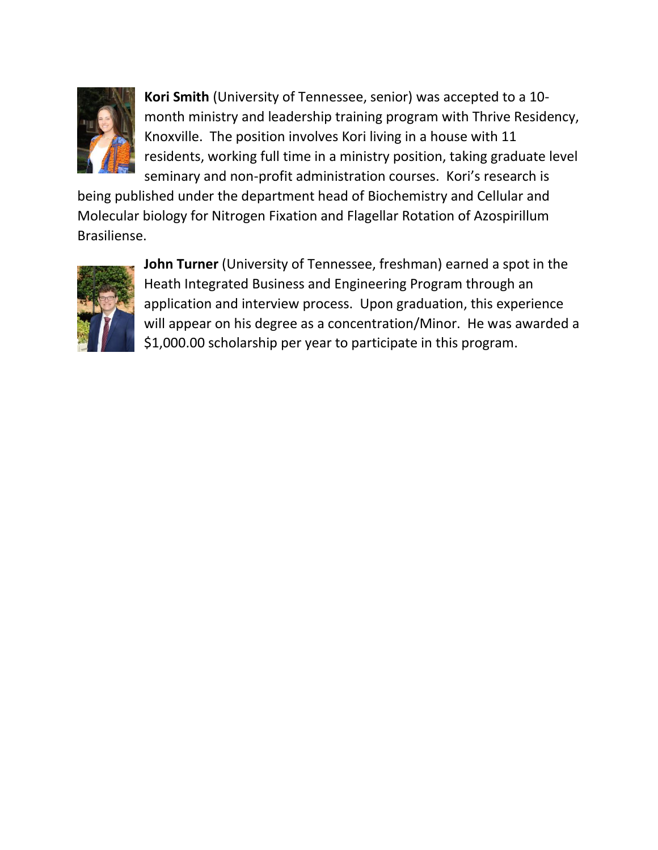

**Kori Smith** (University of Tennessee, senior) was accepted to a 10 month ministry and leadership training program with Thrive Residency, Knoxville. The position involves Kori living in a house with 11 residents, working full time in a ministry position, taking graduate level seminary and non-profit administration courses. Kori's research is

being published under the department head of Biochemistry and Cellular and Molecular biology for Nitrogen Fixation and Flagellar Rotation of Azospirillum Brasiliense.



**John Turner** (University of Tennessee, freshman) earned a spot in the Heath Integrated Business and Engineering Program through an application and interview process. Upon graduation, this experience will appear on his degree as a concentration/Minor. He was awarded a \$1,000.00 scholarship per year to participate in this program.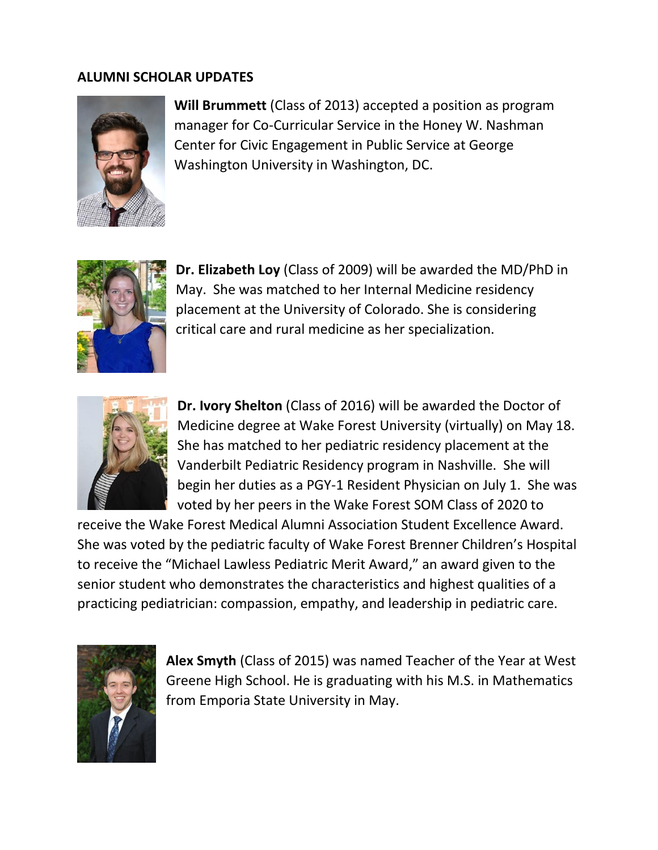## **ALUMNI SCHOLAR UPDATES**



**Will Brummett** (Class of 2013) accepted a position as program manager for Co-Curricular Service in the Honey W. Nashman Center for Civic Engagement in Public Service at George Washington University in Washington, DC.



**Dr. Elizabeth Loy** (Class of 2009) will be awarded the MD/PhD in May. She was matched to her Internal Medicine residency placement at the University of Colorado. She is considering critical care and rural medicine as her specialization.



**Dr. Ivory Shelton** (Class of 2016) will be awarded the Doctor of Medicine degree at Wake Forest University (virtually) on May 18. She has matched to her pediatric residency placement at the Vanderbilt Pediatric Residency program in Nashville. She will begin her duties as a PGY-1 Resident Physician on July 1. She was voted by her peers in the Wake Forest SOM Class of 2020 to

receive the Wake Forest Medical Alumni Association Student Excellence Award. She was voted by the pediatric faculty of Wake Forest Brenner Children's Hospital to receive the "Michael Lawless Pediatric Merit Award," an award given to the senior student who demonstrates the characteristics and highest qualities of a practicing pediatrician: compassion, empathy, and leadership in pediatric care.



**Alex Smyth** (Class of 2015) was named Teacher of the Year at West Greene High School. He is graduating with his M.S. in Mathematics from Emporia State University in May.